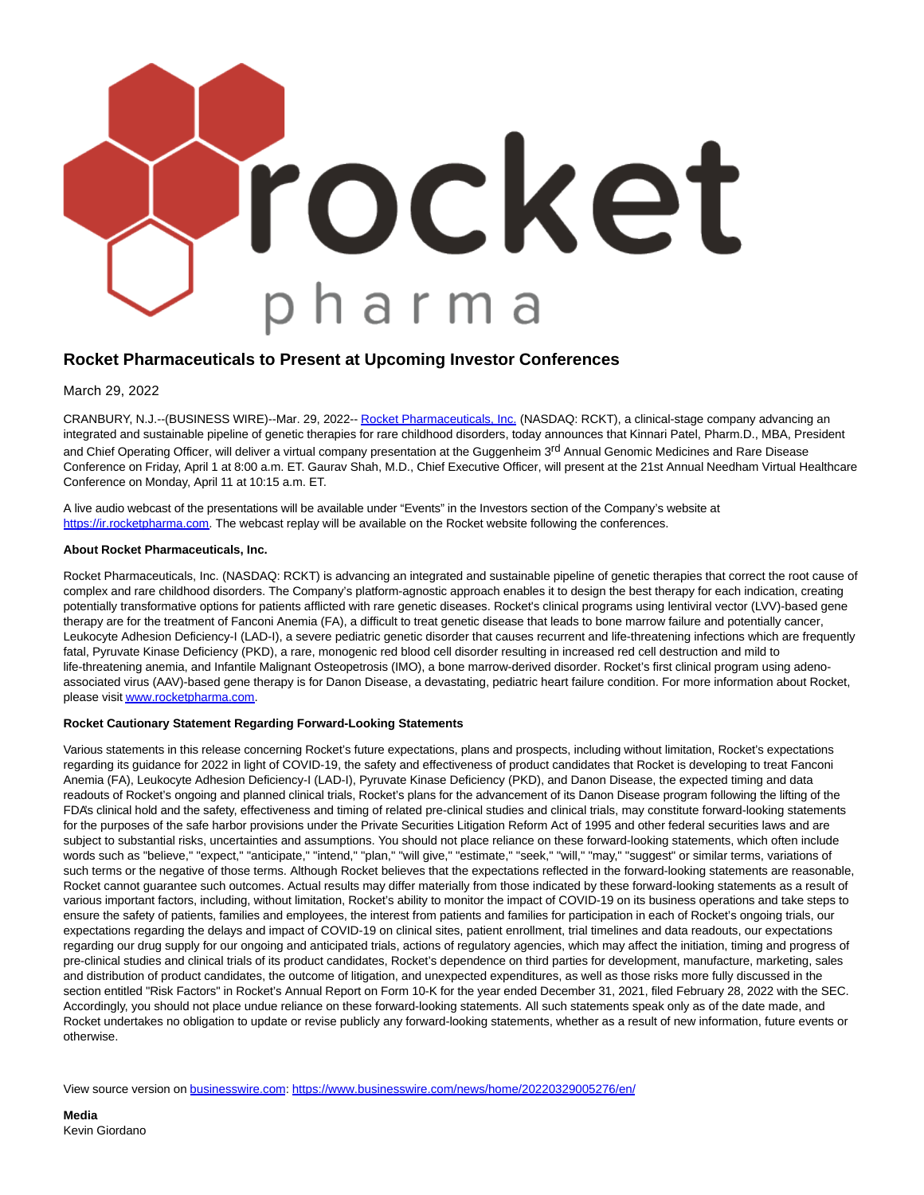

## **Rocket Pharmaceuticals to Present at Upcoming Investor Conferences**

March 29, 2022

CRANBURY, N.J.--(BUSINESS WIRE)--Mar. 29, 2022-[- Rocket Pharmaceuticals, Inc. \(](https://cts.businesswire.com/ct/CT?id=smartlink&url=https%3A%2F%2Frocketpharma.com%2F&esheet=52626739&newsitemid=20220329005276&lan=en-US&anchor=Rocket+Pharmaceuticals%2C+Inc.&index=1&md5=80025fa40902e5669088d4ccdc14caf3)NASDAQ: RCKT), a clinical-stage company advancing an integrated and sustainable pipeline of genetic therapies for rare childhood disorders, today announces that Kinnari Patel, Pharm.D., MBA, President and Chief Operating Officer, will deliver a virtual company presentation at the Guggenheim 3<sup>rd</sup> Annual Genomic Medicines and Rare Disease Conference on Friday, April 1 at 8:00 a.m. ET. Gaurav Shah, M.D., Chief Executive Officer, will present at the 21st Annual Needham Virtual Healthcare Conference on Monday, April 11 at 10:15 a.m. ET.

A live audio webcast of the presentations will be available under "Events" in the Investors section of the Company's website at [https://ir.rocketpharma.com.](https://cts.businesswire.com/ct/CT?id=smartlink&url=https%3A%2F%2Fir.rocketpharma.com&esheet=52626739&newsitemid=20220329005276&lan=en-US&anchor=https%3A%2F%2Fir.rocketpharma.com&index=2&md5=cdb126fdfd43791325bd574ec99f28a4) The webcast replay will be available on the Rocket website following the conferences.

## **About Rocket Pharmaceuticals, Inc.**

Rocket Pharmaceuticals, Inc. (NASDAQ: RCKT) is advancing an integrated and sustainable pipeline of genetic therapies that correct the root cause of complex and rare childhood disorders. The Company's platform-agnostic approach enables it to design the best therapy for each indication, creating potentially transformative options for patients afflicted with rare genetic diseases. Rocket's clinical programs using lentiviral vector (LVV)-based gene therapy are for the treatment of Fanconi Anemia (FA), a difficult to treat genetic disease that leads to bone marrow failure and potentially cancer, Leukocyte Adhesion Deficiency-I (LAD-I), a severe pediatric genetic disorder that causes recurrent and life-threatening infections which are frequently fatal, Pyruvate Kinase Deficiency (PKD), a rare, monogenic red blood cell disorder resulting in increased red cell destruction and mild to life-threatening anemia, and Infantile Malignant Osteopetrosis (IMO), a bone marrow-derived disorder. Rocket's first clinical program using adenoassociated virus (AAV)-based gene therapy is for Danon Disease, a devastating, pediatric heart failure condition. For more information about Rocket, please visi[t www.rocketpharma.com.](https://cts.businesswire.com/ct/CT?id=smartlink&url=http%3A%2F%2Fwww.rocketpharma.com&esheet=52626739&newsitemid=20220329005276&lan=en-US&anchor=www.rocketpharma.com&index=3&md5=27e71fe26c615dbde414d243a094686a)

## **Rocket Cautionary Statement Regarding Forward-Looking Statements**

Various statements in this release concerning Rocket's future expectations, plans and prospects, including without limitation, Rocket's expectations regarding its guidance for 2022 in light of COVID-19, the safety and effectiveness of product candidates that Rocket is developing to treat Fanconi Anemia (FA), Leukocyte Adhesion Deficiency-I (LAD-I), Pyruvate Kinase Deficiency (PKD), and Danon Disease, the expected timing and data readouts of Rocket's ongoing and planned clinical trials, Rocket's plans for the advancement of its Danon Disease program following the lifting of the FDA's clinical hold and the safety, effectiveness and timing of related pre-clinical studies and clinical trials, may constitute forward-looking statements for the purposes of the safe harbor provisions under the Private Securities Litigation Reform Act of 1995 and other federal securities laws and are subject to substantial risks, uncertainties and assumptions. You should not place reliance on these forward-looking statements, which often include words such as "believe," "expect," "anticipate," "intend," "plan," "will give," "estimate," "seek," "will," "may," "suggest" or similar terms, variations of such terms or the negative of those terms. Although Rocket believes that the expectations reflected in the forward-looking statements are reasonable, Rocket cannot guarantee such outcomes. Actual results may differ materially from those indicated by these forward-looking statements as a result of various important factors, including, without limitation, Rocket's ability to monitor the impact of COVID-19 on its business operations and take steps to ensure the safety of patients, families and employees, the interest from patients and families for participation in each of Rocket's ongoing trials, our expectations regarding the delays and impact of COVID-19 on clinical sites, patient enrollment, trial timelines and data readouts, our expectations regarding our drug supply for our ongoing and anticipated trials, actions of regulatory agencies, which may affect the initiation, timing and progress of pre-clinical studies and clinical trials of its product candidates, Rocket's dependence on third parties for development, manufacture, marketing, sales and distribution of product candidates, the outcome of litigation, and unexpected expenditures, as well as those risks more fully discussed in the section entitled "Risk Factors" in Rocket's Annual Report on Form 10-K for the year ended December 31, 2021, filed February 28, 2022 with the SEC. Accordingly, you should not place undue reliance on these forward-looking statements. All such statements speak only as of the date made, and Rocket undertakes no obligation to update or revise publicly any forward-looking statements, whether as a result of new information, future events or otherwise.

View source version on [businesswire.com:](http://businesswire.com/)<https://www.businesswire.com/news/home/20220329005276/en/>